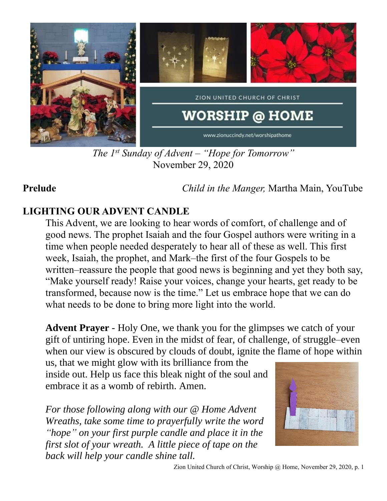

*The 1st Sunday of Advent – "Hope for Tomorrow"* November 29, 2020

**Prelude** *Child in the Manger,* Martha Main, YouTube

# **LIGHTING OUR ADVENT CANDLE**

This Advent, we are looking to hear words of comfort, of challenge and of good news. The prophet Isaiah and the four Gospel authors were writing in a time when people needed desperately to hear all of these as well. This first week, Isaiah, the prophet, and Mark–the first of the four Gospels to be written–reassure the people that good news is beginning and yet they both say, "Make yourself ready! Raise your voices, change your hearts, get ready to be transformed, because now is the time." Let us embrace hope that we can do what needs to be done to bring more light into the world.

**Advent Prayer** - Holy One, we thank you for the glimpses we catch of your gift of untiring hope. Even in the midst of fear, of challenge, of struggle–even when our view is obscured by clouds of doubt, ignite the flame of hope within

us, that we might glow with its brilliance from the inside out. Help us face this bleak night of the soul and embrace it as a womb of rebirth. Amen.

*For those following along with our @ Home Advent Wreaths, take some time to prayerfully write the word "hope" on your first purple candle and place it in the first slot of your wreath. A little piece of tape on the back will help your candle shine tall.* 



Zion United Church of Christ, Worship @ Home, November 29, 2020, p. 1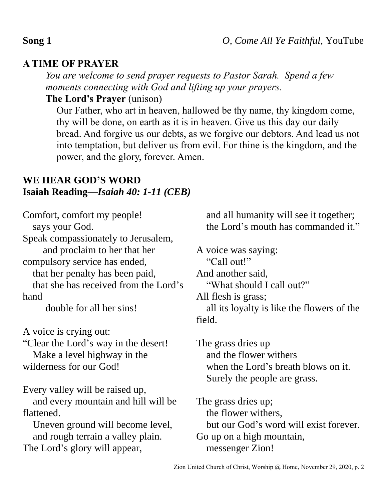## **Song 1** *O, Come All Ye Faithful*, YouTube

### **A TIME OF PRAYER**

*You are welcome to send prayer requests to Pastor Sarah. Spend a few moments connecting with God and lifting up your prayers.*

**The Lord's Prayer** (unison)

Our Father, who art in heaven, hallowed be thy name, thy kingdom come, thy will be done, on earth as it is in heaven. Give us this day our daily bread. And forgive us our debts, as we forgive our debtors. And lead us not into temptation, but deliver us from evil. For thine is the kingdom, and the power, and the glory, forever. Amen.

### **WE HEAR GOD'S WORD Isaiah Reading—***Isaiah 40: 1-11 (CEB)*

| Comfort, comfort my people!<br>says your God. | and all humanity will see it together;<br>the Lord's mouth has commanded it." |
|-----------------------------------------------|-------------------------------------------------------------------------------|
| Speak compassionately to Jerusalem,           |                                                                               |
| and proclaim to her that her                  | A voice was saying:                                                           |
| compulsory service has ended,                 | "Call out!"                                                                   |
| that her penalty has been paid,               | And another said,                                                             |
| that she has received from the Lord's         | "What should I call out?"                                                     |
| hand                                          | All flesh is grass;                                                           |
| double for all her sins!                      | all its loyalty is like the flowers of the                                    |
|                                               | field.                                                                        |
| A voice is crying out:                        |                                                                               |
| "Clear the Lord's way in the desert!"         | The grass dries up                                                            |
| Make a level highway in the                   | and the flower withers                                                        |
| wilderness for our God!                       | when the Lord's breath blows on it.                                           |
|                                               | Surely the people are grass.                                                  |
| Every valley will be raised up,               |                                                                               |
| and every mountain and hill will be           | The grass dries up;                                                           |
| flattened.                                    | the flower withers,                                                           |
|                                               |                                                                               |
| Uneven ground will become level,              | but our God's word will exist forever.                                        |
| and rough terrain a valley plain.             | Go up on a high mountain,                                                     |
| The Lord's glory will appear,                 | messenger Zion!                                                               |
|                                               |                                                                               |

Zion United Church of Christ, Worship @ Home, November 29, 2020, p. 2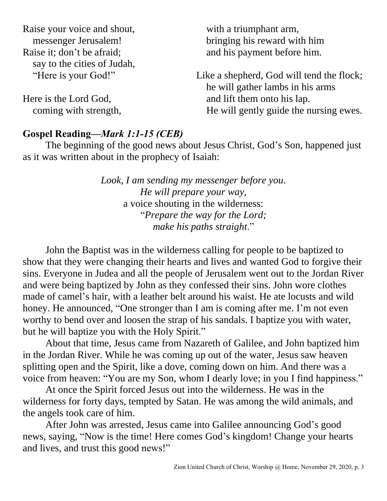Raise your voice and shout, messenger Jerusalem! Raise it; don't be afraid; say to the cities of Judah, "Here is your God!" Here is the Lord God, coming with strength, with a triumphant arm, bringing his reward with him and his payment before him. Like a shepherd, God will tend the flock; he will gather lambs in his arms and lift them onto his lap. He will gently guide the nursing ewes.

#### **Gospel Reading—***Mark 1:1-15 (CEB)*

The beginning of the good news about Jesus Christ, God's Son, happened just as it was written about in the prophecy of Isaiah:

> *Look, I am sending my messenger before you*. *He will prepare your way,* a voice shouting in the wilderness: "*Prepare the way for the Lord; make his paths straight*."

John the Baptist was in the wilderness calling for people to be baptized to show that they were changing their hearts and lives and wanted God to forgive their sins. Everyone in Judea and all the people of Jerusalem went out to the Jordan River and were being baptized by John as they confessed their sins. John wore clothes made of camel's hair, with a leather belt around his waist. He ate locusts and wild honey. He announced, "One stronger than I am is coming after me. I'm not even worthy to bend over and loosen the strap of his sandals. I baptize you with water, but he will baptize you with the Holy Spirit."

About that time, Jesus came from Nazareth of Galilee, and John baptized him in the Jordan River. While he was coming up out of the water, Jesus saw heaven splitting open and the Spirit, like a dove, coming down on him. And there was a voice from heaven: "You are my Son, whom I dearly love; in you I find happiness."

At once the Spirit forced Jesus out into the wilderness. He was in the wilderness for forty days, tempted by Satan. He was among the wild animals, and the angels took care of him.

After John was arrested, Jesus came into Galilee announcing God's good news, saying, "Now is the time! Here comes God's kingdom! Change your hearts and lives, and trust this good news!"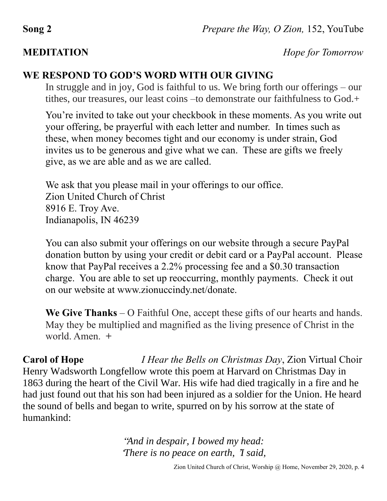**MEDITATION** *Hope for Tomorrow*

# **WE RESPOND TO GOD'S WORD WITH OUR GIVING**

In struggle and in joy, God is faithful to us. We bring forth our offerings – our tithes, our treasures, our least coins –to demonstrate our faithfulness to God.+

You're invited to take out your checkbook in these moments. As you write out your offering, be prayerful with each letter and number. In times such as these, when money becomes tight and our economy is under strain, God invites us to be generous and give what we can. These are gifts we freely give, as we are able and as we are called.

We ask that you please mail in your offerings to our office. Zion United Church of Christ 8916 E. Troy Ave. Indianapolis, IN 46239

You can also submit your offerings on our website through a secure PayPal donation button by using your credit or debit card or a PayPal account. Please know that PayPal receives a 2.2% processing fee and a \$0.30 transaction charge. You are able to set up reoccurring, monthly payments. Check it out on our website at www.zionuccindy.net/donate.

**We Give Thanks** – O Faithful One, accept these gifts of our hearts and hands. May they be multiplied and magnified as the living presence of Christ in the world. Amen. **+**

**Carol of Hope** *I Hear the Bells on Christmas Day*, Zion Virtual Choir Henry Wadsworth Longfellow wrote this poem at Harvard on Christmas Day in 1863 during the heart of the Civil War. His wife had died tragically in a fire and he had just found out that his son had been injured as a soldier for the Union. He heard the sound of bells and began to write, spurred on by his sorrow at the state of humankind:

> "*And in despair, I bowed my head:* '*There is no peace on earth,* '*I said,*